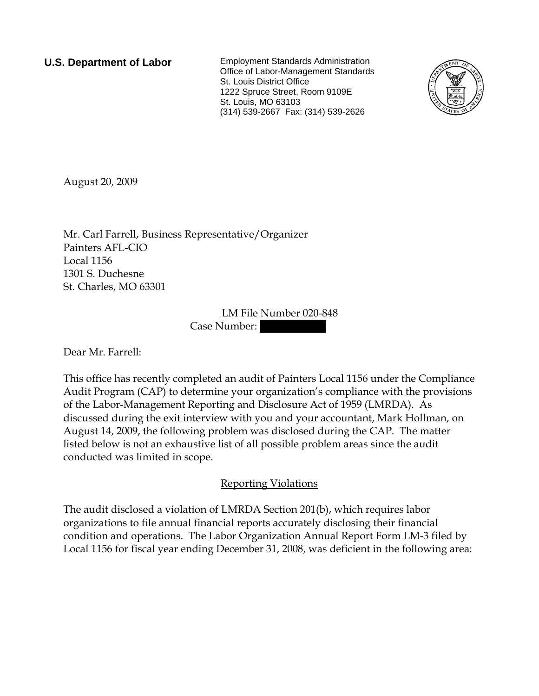**U.S. Department of Labor** Employment Standards Administration Office of Labor-Management Standards St. Louis District Office 1222 Spruce Street, Room 9109E St. Louis, MO 63103 (314) 539-2667 Fax: (314) 539-2626



August 20, 2009

Mr. Carl Farrell, Business Representative/Organizer Painters AFL-CIO Local 1156 1301 S. Duchesne St. Charles, MO 63301

> LM File Number 020-848 Case Number:

Dear Mr. Farrell:

This office has recently completed an audit of Painters Local 1156 under the Compliance Audit Program (CAP) to determine your organization's compliance with the provisions of the Labor-Management Reporting and Disclosure Act of 1959 (LMRDA). As discussed during the exit interview with you and your accountant, Mark Hollman, on August 14, 2009, the following problem was disclosed during the CAP. The matter listed below is not an exhaustive list of all possible problem areas since the audit conducted was limited in scope.

## Reporting Violations

The audit disclosed a violation of LMRDA Section 201(b), which requires labor organizations to file annual financial reports accurately disclosing their financial condition and operations. The Labor Organization Annual Report Form LM-3 filed by Local 1156 for fiscal year ending December 31, 2008, was deficient in the following area: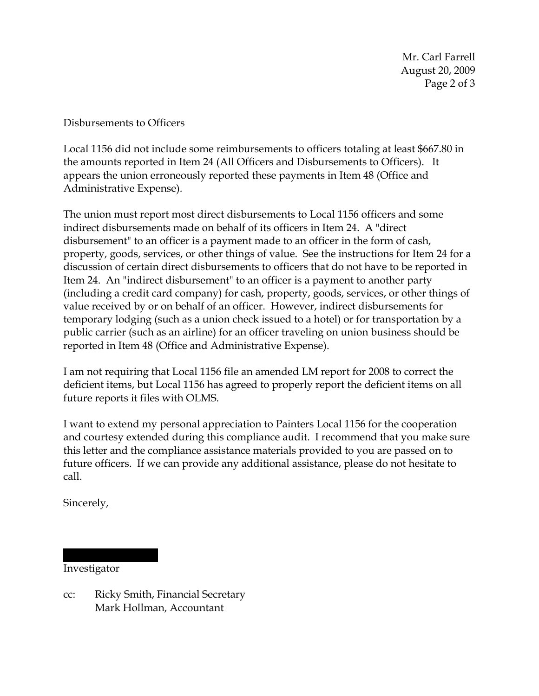Mr. Carl Farrell August 20, 2009 Page 2 of 3

Disbursements to Officers

Local 1156 did not include some reimbursements to officers totaling at least \$667.80 in the amounts reported in Item 24 (All Officers and Disbursements to Officers). It appears the union erroneously reported these payments in Item 48 (Office and Administrative Expense).

The union must report most direct disbursements to Local 1156 officers and some indirect disbursements made on behalf of its officers in Item 24. A "direct disbursement" to an officer is a payment made to an officer in the form of cash, property, goods, services, or other things of value. See the instructions for Item 24 for a discussion of certain direct disbursements to officers that do not have to be reported in Item 24. An "indirect disbursement" to an officer is a payment to another party (including a credit card company) for cash, property, goods, services, or other things of value received by or on behalf of an officer. However, indirect disbursements for temporary lodging (such as a union check issued to a hotel) or for transportation by a public carrier (such as an airline) for an officer traveling on union business should be reported in Item 48 (Office and Administrative Expense).

I am not requiring that Local 1156 file an amended LM report for 2008 to correct the deficient items, but Local 1156 has agreed to properly report the deficient items on all future reports it files with OLMS.

I want to extend my personal appreciation to Painters Local 1156 for the cooperation and courtesy extended during this compliance audit. I recommend that you make sure this letter and the compliance assistance materials provided to you are passed on to future officers. If we can provide any additional assistance, please do not hesitate to call.

Sincerely,

Investigator

||||||| || |||||

cc: Ricky Smith, Financial Secretary Mark Hollman, Accountant